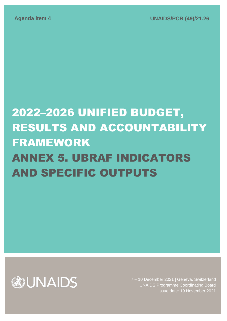# 2022–2026 UNIFIED BUDGET, RESULTS AND ACCOUNTABILITY FRAMEWORK ANNEX 5. UBRAF INDICATORS AND SPECIFIC OUTPUTS



7 – 10 December 2021 | Geneva, Switzerland UNAIDS Programme Coordinating Board Issue date: 19 November 2021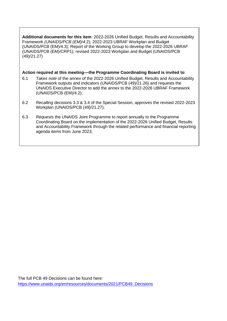**Additional documents for this item**: 2022-2026 Unified Budget, Results and Accountability Framework *(UNAIDS/PCB (EM)/4*.2); 2022-2023 UBRAF Workplan and Budget (UNAIDS/PCB (EM)/4.3); Report of the Working Group to develop the 2022-2026 UBRAF (UNAIDS/PCB (EM)/CRP1); revised 2022-2023 Workplan and Budget (UNAIDS/PCB (49)/21.27)

# **Action required at this meeting––the Programme Coordinating Board is invited to**:

- 6.1 *Takes note* of the annex of the 2022-2026 Unified Budget, Results and Accountability Framework outputs and indicators (UNAIDS/PCB (49)/21.26) and requests the UNAIDS Executive Director to add the annex to the 2022-2026 UBRAF Framework (UNAIDS/PCB (EM)/4.2);
- 6.2 *Recalling* decisions 3.3 & 3.4 of the Special Session, *approves* the revised 2022-2023 Workplan (UNAIDS/PCB (49)/21.27);
- 6.3 *Requests* the UNAIDS Joint Programme to report annually to the Programme Coordinating Board on the implementation of the 2022-2026 Unified Budget, Results and Accountability Framework through the related performance and financial reporting agenda items from June 2023;

**Cost implications for the implementation of the decisions**: none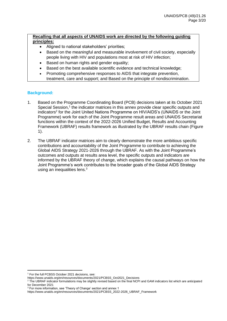# **Recalling that all aspects of UNAIDS work are directed by the following guiding principles:**

- Aligned to national stakeholders' priorities;
- Based on the meaningful and measurable involvement of civil society, especially people living with HIV and populations most at risk of HIV infection;
- Based on human rights and gender equality;
- Based on the best available scientific evidence and technical knowledge;
- Promoting comprehensive responses to AIDS that integrate prevention, treatment, care and support; and Based on the principle of nondiscrimination.

# **Background:**

- 1. Based on the Programme Coordinating Board (PCB) decisions taken at its October 2021 Special Session,<sup>1</sup> the indicator matrices in this annex provide clear specific outputs and indicators<sup>2</sup> for the Joint United Nations Programme on HIV/AIDS's (UNAIDS or the Joint Programme) work for each of the Joint Programme result areas and UNAIDS Secretariat functions within the context of the 2022-2026 Unified Budget, Results and Accounting Framework (UBRAF) results framework as illustrated by the UBRAF results chain (Figure 1).
- 2. The UBRAF indicator matrices aim to clearly demonstrate the more ambitious specific contributions and accountability of the Joint Programme to contribute to achieving the Global AIDS Strategy 2021-2026 through the UBRAF. As with the Joint Programme's outcomes and outputs at results area level, the specific outputs and indicators are informed by the UBRAF theory of change, which explains the causal pathways on how the Joint Programme's work contributes to the broader goals of the Global AIDS Strategy using an inequalities lens.<sup>3</sup>

<sup>1</sup> For the full PCBSS October 2021 decisions, see:

https://www.unaids.org/en/resources/documents/2021/PCBSS\_Oct2021\_Decisions

<sup>&</sup>lt;sup>2</sup> The UBRAF indicator formulations may be slightly revised based on the final NCPI and GAM indicators list which are anticipated for December 2021

<sup>3</sup> For more information, see 'Theory of Change' section and annex 1

https://www.unaids.org/en/resources/documents/2021/PCBSS\_2022-2026\_UBRAF\_Framework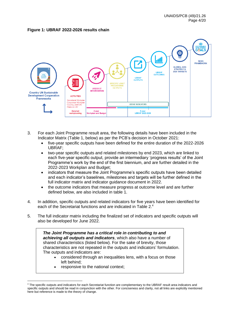#### **Figure 1: UBRAF 2022-2026 results chain**



- 3. For each Joint Programme result area, the following details have been included in the Indicator Matrix (Table 1, below) as per the PCB's decision in October 2021:
	- five-year specific outputs have been defined for the entire duration of the 2022-2026 UBRAF;
	- two-year specific outputs and related milestones by end 2023, which are linked to each five-year specific output, provide an intermediary 'progress results' of the Joint Programme's work by the end of the first biennium, and are further detailed in the 2022-2023 Workplan and Budget;
	- indicators that measure the Joint Programme's specific outputs have been detailed and each indicator's baselines, milestones and targets will be further defined in the full indicator matrix and indicator guidance document in 2022.
	- the outcome indicators that measure progress at outcome level and are further defined below, are also included in table 1.
- 4. In addition, specific outputs and related indicators for five years have been identified for each of the Secretariat functions and are indicated in Table 2.<sup>4</sup>
- 5. The full indicator matrix including the finalized set of indicators and specific outputs will also be developed for June 2022.

*The Joint Programme has a critical role in contributing to and achieving all outputs and indicators*, which also have a number of shared characteristics (listed below). For the sake of brevity, those characteristics are not repeated in the outputs and indicators' formulation. The outputs and indicators are:

- considered through an inequalities lens, with a focus on those left behind;
- responsive to the national context;

<sup>4</sup> The specific outputs and indicators for each Secretariat function are complementary to the UBRAF result area indicators and specific outputs and should be read in conjunction with the other. For conciseness and clarity, not all links are explicitly mentioned here but reference is made to the theory of change.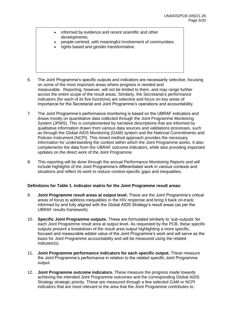- informed by evidence and recent scientific and other developments;
- people-centred, with meaningful involvement of communities;
- rights based and gender transformative.
- 6. The Joint Programme's specific outputs and indicators are necessarily selective, focusing on some of the most important areas where progress is needed and measurable. Reporting, however, will not be limited to them, and may range further across the entire scope of the result areas. Similarly, the Secretariat's performance indicators (for each of its five functions) are selective and focus on key areas of importance for the Secretariat and Joint Programme's operations and accountability.
- 7. The Joint Programme's performance monitoring is based on the UBRAF indicators and draws mostly on quantitative data collected through the Joint Programme Monitoring System (JPMS). This is complemented by narrative descriptions that are informed by qualitative information drawn from various data sources and validations processes, such as through the Global AIDS Monitoring (GAM) system and the National Commitments and Policies Instrument (NCPI). This mixed method approach provides the necessary information for understanding the context within which the Joint Programme works. It also complements the data from the UBRAF outcome indicators, while also providing important updates on the direct work of the Joint Programme.
- 8. This reporting will be done through the annual Performance Monitoring Reports and will include highlights of the Joint Programme's differentiated work in various contexts and situations and reflect its work to reduce context-specific gaps and inequalities.

## **Definitions for Table 1. Indicator matrix for the Joint Programme result areas:**

- 9. **Joint Programme result areas at output level.** These are the Joint Programme's critical areas of focus to address inequalities in the HIV response and bring it back on-track; informed by and fully aligned with the Global AIDS Strategy's result areas (as per the UBRAF results framework).
- 10. **Specific Joint Programme outputs.** These are formulated similarly to 'sub-outputs' for each Joint Programme result area at output level. As requested by the PCB, these specific outputs present a breakdown of the result area output highlighting a more specific, focused and measurable added value of the Joint Programme's work and will serve as the basis for Joint Programme accountability and will be measured using the related indicator(s).
- 11. **Joint Programme performance indicators for each specific output.** These measure the Joint Programme's performance in relation to the related specific Joint Programme output.
- 12. **Joint Programme outcome indicators.** These measure the progress made towards achieving the intended Joint Programme outcomes and the corresponding Global AIDS Strategy strategic priority. These are measured through a few selected GAM or NCPI indicators that are most relevant to the area that the Joint Programme contributes to.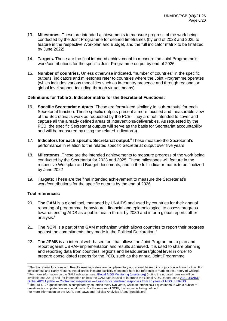- 13. **Milestones.** These are intended achievements to measure progress of the work being conducted by the Joint Programme for defined timeframes (by end of 2023 and 2025 to feature in the respective Workplan and Budget, and the full indicator matrix to be finalized by June 2022).
- 14. **Targets.** These are the final intended achievement to measure the Joint Programme's work/contributions for the specific Joint Programme output by end of 2026.
- 15. **Number of countries.** Unless otherwise indicated, "number of countries" in the specific outputs, indicators and milestones refer to countries where the Joint Programme operates (which includes various modalities such as in-country presence and through regional or global level support including through virtual means).

### **Definitions for Table 2. Indicator matrix for the Secretariat Functions:**

- 16. **Specific Secretariat outputs.** These are formulated similarly to 'sub-outputs' for each Secretariat function. These specific outputs present a more focused and measurable view of the Secretariat's work as requested by the PCB. They are not intended to cover and capture all the already defined areas of interventions/deliverables. As requested by the PCB, the specific Secretariat outputs will serve as the basis for Secretariat accountability and will be measured by using the related indicator(s).
- 17. **Indicators for each specific Secretariat output.** <sup>5</sup> These measure the Secretariat's performance in relation to the related specific Secretariat output over five years
- 18. **Milestones.** These are the intended achievements to measure progress of the work being conducted by the Secretariat for 2023 and 2025. These milestones will feature in the respective Workplan and Budget documents, and in the full indicator matrix to be finalized by June 2022
- 19. **Targets:** These are the final intended achievement to measure the Secretariat's work/contributions for the specific outputs by the end of 2026

## **Tool references:**

- 20. **The GAM** is a global tool, managed by UNAIDS and used by countries for their annual reporting of programme, behavioural, financial and epidemiological to assess progress towards ending AIDS as a public health threat by 2030 and inform global reports other analysis.<sup>6</sup>
- 21. **The NCPI** is a part of the GAM mechanism which allows countries to report their progress against the commitments they made in the Political Declaration.<sup>7</sup>
- 22. **The JPMS** is an internal web-based tool that allows the Joint Programme to plan and report against UBRAF implementation and results achieved. It is used to share planning and reporting data from countries, regions and headquarters/global level in order to prepare consolidated reports for the PCB, such as the annual Joint Programme

<sup>5</sup> The Secretariat functions and Results Area indicators are complementary and should be read in conjunction with each other. For conciseness and clarity reasons, not all cross links are explicitly mentioned here but reference is made to the Theory of Change. <sup>6</sup> For more information on the GAM indicators, see[: Global AIDS Monitoring \(unaids.org\)](https://aidsreportingtool.unaids.org/) (noting the updated version will be available end 2021) and for information on how the GAM data is used to informed the Global AIDS Report, see : [2021 UNAIDS](https://www.unaids.org/en/resources/documents/2021/2021-global-aids-update)  Global AIDS Update — Confronting inequalities — [Lessons for pandemic responses from 40 years of AIDS | UNAIDS](https://www.unaids.org/en/resources/documents/2021/2021-global-aids-update)  $<sup>7</sup>$  The Full NCPI questionnaire is completed by countries every two years, while an interim NCPI questionnaire with a subset of</sup> questions is completed on an annual basis. For the new set of NCPI, this subset is being defined.

For more information on the NCPI, see: [Laws and Policies Analytics | About \(unaids.org\).](https://lawsandpolicies.unaids.org/about?lan=en)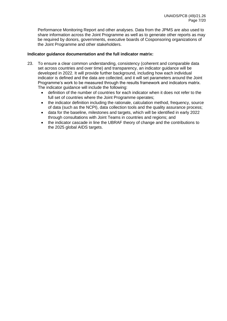Performance Monitoring Report and other analyses. Data from the JPMS are also used to share information across the Joint Programme as well as to generate other reports as may be required by donors, governments, executive boards of Cosponsoring organizations of the Joint Programme and other stakeholders.

## **Indicator guidance documentation and the full indicator matrix:**

- 23. To ensure a clear common understanding, consistency (coherent and comparable data set across countries and over time) and transparency, an indicator guidance will be developed in 2022. It will provide further background, including how each individual indicator is defined and the data are collected, and it will set parameters around the Joint Programme's work to be measured through the results framework and indicators matrix. The indicator guidance will include the following:
	- definition of the number of countries for each indicator when it does not refer to the full set of countries where the Joint Programme operates;
	- the indicator definition including the rationale, calculation method, frequency, source of data (such as the NCPI), data collection tools and the quality assurance process;
	- data for the baseline, milestones and targets, which will be identified in early 2022 through consultations with Joint Teams in countries and regions; and
	- the indicator cascade in line the UBRAF theory of change and the contributions to the 2025 global AIDS targets.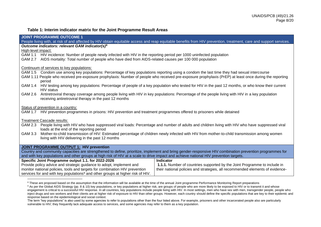### **Table 1: Interim indicator matrix for the Joint Programme Result Areas**

| <b>JOINT PROGRAMME OUTCOME 1</b>                                                                                                                         |                                                                                                                                                                   |  |
|----------------------------------------------------------------------------------------------------------------------------------------------------------|-------------------------------------------------------------------------------------------------------------------------------------------------------------------|--|
|                                                                                                                                                          | People living with, at risk of and affected by HIV obtain equitable access and reap equitable benefits from HIV prevention, treatment, care and support services. |  |
| Outcome indicators: relevant GAM indicator(s) <sup>8</sup>                                                                                               |                                                                                                                                                                   |  |
| High-level impact:                                                                                                                                       |                                                                                                                                                                   |  |
| GAM 1.1 HIV incidence: Number of people newly infected with HIV in the reporting period per 1000 uninfected population                                   |                                                                                                                                                                   |  |
| GAM 2.7 AIDS mortality: Total number of people who have died from AIDS-related causes per 100 000 population                                             |                                                                                                                                                                   |  |
| Continuum of services to key populations:                                                                                                                |                                                                                                                                                                   |  |
| GAM 1.5 Condom use among key populations: Percentage of key populations reporting using a condom the last time they had sexual intercourse               |                                                                                                                                                                   |  |
|                                                                                                                                                          |                                                                                                                                                                   |  |
| period                                                                                                                                                   | GAM 1.11 People who received pre-exposure prophylaxis: Number of people who received pre-exposure prophylaxis (PrEP) at least once during the reporting           |  |
| GAM 1.4                                                                                                                                                  | HIV testing among key populations: Percentage of people of a key population who tested for HIV in the past 12 months, or who know their current                   |  |
| <b>HIV</b> status                                                                                                                                        |                                                                                                                                                                   |  |
| GAM 2.6                                                                                                                                                  | Antiretroviral therapy coverage among people living with HIV in key populations: Percentage of the people living with HIV in a key population                     |  |
| receiving antiretroviral therapy in the past 12 months                                                                                                   |                                                                                                                                                                   |  |
|                                                                                                                                                          |                                                                                                                                                                   |  |
| Status of prevention in a country:                                                                                                                       |                                                                                                                                                                   |  |
| GAM 1.7 HIV prevention programmes in prisons: HIV prevention and treatment programmes offered to prisoners while detained                                |                                                                                                                                                                   |  |
| Treatment Cascade results:                                                                                                                               |                                                                                                                                                                   |  |
|                                                                                                                                                          | GAM 2.3 People living with HIV who have suppressed viral loads: Percentage and number of adults and children living with HIV who have suppressed viral            |  |
| loads at the end of the reporting period                                                                                                                 |                                                                                                                                                                   |  |
| GAM 3.3                                                                                                                                                  | Mother-to-child transmission of HIV: Estimated percentage of children newly infected with HIV from mother-to-child transmission among women                       |  |
| living with HIV delivering in the past 12 months                                                                                                         |                                                                                                                                                                   |  |
|                                                                                                                                                          |                                                                                                                                                                   |  |
| <b>JOINT PROGRAMME OUTPUT 1: HIV prevention</b>                                                                                                          |                                                                                                                                                                   |  |
| Country and community capacities are strengthened to define, prioritize, implement and bring gender-responsive HIV combination prevention programmes for |                                                                                                                                                                   |  |
| and with key populations and other groups at high risk of HIV at a scale to drive impact and achieve national HIV prevention targets.                    |                                                                                                                                                                   |  |
| Specific Joint Programme output 1.1. for 2022-2026                                                                                                       | <b>Indicator</b>                                                                                                                                                  |  |
| Provide policy advice and strategic guidance to adopt, implement and                                                                                     | 1.1.1. Number of countries supported by the Joint Programme to include in                                                                                         |  |
| monitor national policies, tools and targets for combination HIV prevention                                                                              | their national policies and strategies, all recommended elements of evidence-                                                                                     |  |
| services for and with key populations <sup>9</sup> and other groups at higher risk of HIV.                                                               |                                                                                                                                                                   |  |
|                                                                                                                                                          |                                                                                                                                                                   |  |

<sup>&</sup>lt;sup>8</sup> These are proposed based on the assumption that the information will be available at the time of the annual Joint programme Performance Monitoring Report preparations

<sup>&</sup>lt;sup>9</sup> As per the Global AIDS Strategy (pp. 8 & 10) key populations, or key populations at higher risk, are groups of people who are more likely to be exposed to HIV or to transmit it and whose engagement is critical to a successful HIV response. In all countries, key populations include people living with HIV. In most settings, men who have sex with men, transgender people, people who inject drugs and sex workers and their clients are at higher risk of exposure to HIV than other groups. However, each country should define the specific populations that are key to their epidemic and response based on the epidemiological and social context.

The term "key populations" is also used by some agencies to refer to populations other than the four listed above. For example, prisoners and other incarcerated people also are particularly vulnerable to HIV; they frequently lack adequate access to services, and some agencies may refer to them as a key population.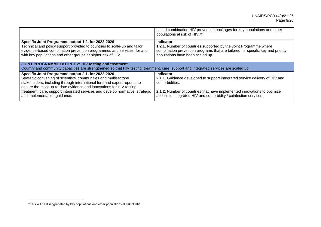| based combination HIV prevention packages for key populations and other<br>populations at risk of HIV. <sup>10</sup>                                                                                                                                       |  |  |
|------------------------------------------------------------------------------------------------------------------------------------------------------------------------------------------------------------------------------------------------------------|--|--|
| <b>Indicator</b><br>1.2.1. Number of countries supported by the Joint Programme where<br>combination prevention programs that are tailored for specific key and priority<br>populations have been scaled up.                                               |  |  |
| <b>JOINT PROGRAMME OUTPUT 2: HIV testing and treatment</b><br>Country and community capacities are strengthened so that HIV testing, treatment, care, support and integrated services are scaled up.                                                       |  |  |
| Indicator<br>2.1.1. Guidance developed to support integrated service delivery of HIV and<br>comorbidities.<br>2.1.2. Number of countries that have implemented innovations to optimize<br>access to integrated HIV and comorbidity / coinfection services. |  |  |
|                                                                                                                                                                                                                                                            |  |  |

<sup>&</sup>lt;sup>10</sup> This will be disaggregated by key populations and other populations at risk of HIV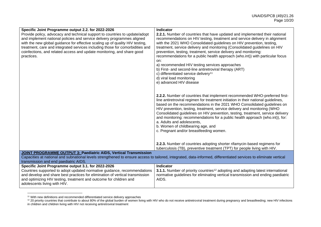| Specific Joint Programme output 2.2. for 2022-2026                                                                                                                | Indicator                                                                                    |
|-------------------------------------------------------------------------------------------------------------------------------------------------------------------|----------------------------------------------------------------------------------------------|
| Provide policy, advocacy and technical support to countries to update/adopt                                                                                       | 2.2.1. Number of countries that have updated and implemented their national                  |
| and implement national policies and service delivery programmes aligned                                                                                           | recommendations on HIV testing, treatment and service delivery in alignment                  |
| with the new global guidance for effective scaling up of quality HIV testing,                                                                                     | with the 2021 WHO Consolidated guidelines on HIV prevention, testing,                        |
| treatment, care and integrated services including those for comorbidities and                                                                                     | treatment, service delivery and monitoring (Consolidated guidelines on HIV                   |
| coinfections, and related access and update monitoring, and share good                                                                                            | prevention, testing, treatment, service delivery and monitoring:                             |
| practices.                                                                                                                                                        | recommendations for a public health approach (who.int)) with particular focus                |
|                                                                                                                                                                   | on:                                                                                          |
|                                                                                                                                                                   | a) recommended HIV testing services approaches                                               |
|                                                                                                                                                                   | b) First- and second-line antiretroviral therapy (ART)                                       |
|                                                                                                                                                                   | c) differentiated service delivery <sup>11</sup>                                             |
|                                                                                                                                                                   | d) viral load monitoring                                                                     |
|                                                                                                                                                                   | e) advanced HIV disease                                                                      |
|                                                                                                                                                                   |                                                                                              |
|                                                                                                                                                                   | 2.2.2. Number of countries that implement recommended WHO-preferred first-                   |
|                                                                                                                                                                   | line antiretroviral regimen for treatment initiation in their national guidelines,           |
|                                                                                                                                                                   | based on the recommendations in the 2021 WHO Consolidated guidelines on                      |
|                                                                                                                                                                   | HIV prevention, testing, treatment, service delivery and monitoring (WHO                     |
|                                                                                                                                                                   | Consolidated guidelines on HIV prevention, testing, treatment, service delivery              |
|                                                                                                                                                                   | and monitoring: recommendations for a public health approach (who.int)), for:                |
|                                                                                                                                                                   | a. Adults and adolescents,                                                                   |
|                                                                                                                                                                   | b. Women of childbearing age, and                                                            |
|                                                                                                                                                                   | c. Pregnant and/or breastfeeding women.                                                      |
|                                                                                                                                                                   |                                                                                              |
|                                                                                                                                                                   | 2.2.3. Number of countries adopting shorter rifamycin-based regimens for                     |
|                                                                                                                                                                   | tuberculosis (TB), preventive treatment (TPT) for people living with HIV.                    |
| <b>JOINT PROGRAMME OUTPUT 3: Paediatric AIDS, Vertical Transmission</b>                                                                                           |                                                                                              |
| Capacities at national and subnational levels strengthened to ensure access to tailored, integrated, data-informed, differentiated services to eliminate vertical |                                                                                              |
| transmission and end paediatric AIDS.                                                                                                                             |                                                                                              |
| Specific Joint Programme output 3.1. for 2022-2026                                                                                                                | Indicator                                                                                    |
| Countries supported to adopt updated normative guidance, recommendations                                                                                          | 3.1.1. Number of priority countries <sup>12</sup> adopting and adapting latest international |
| and develop and share best practices for elimination of vertical transmission                                                                                     | normative guidelines for eliminating vertical transmission and ending paediatric             |
| and optimizing HIV testing, treatment and outcome for children and                                                                                                | AIDS.                                                                                        |
| adolescents living with HIV.                                                                                                                                      |                                                                                              |

<sup>&</sup>lt;sup>11</sup> With new definitions and recommended differentiated service delivery approaches

 $12$  20 priority countries that contribute to about 80% of the global burden of women living with HIV who do not receive antiretroviral treatment during pregnancy and breastfeeding; new HIV infections in children and children living with HIV not receiving antiretroviral treatment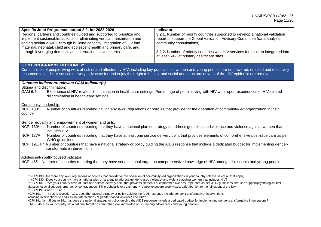| Specific Joint Programme output 3.2. for 2022-2026<br>Regions, partners and countries guided and supported to prioritize and<br>implement sustainable, actions for eliminating vertical transmission and<br>ending pediatric AIDS through building capacity, integration of HIV into<br>maternal, neonatal, child and adolescent health and primary care, and<br>through leveraging domestic and international investments.                                                                                                                                                                                                             | <b>Indicator</b><br>3.2.1. Number of priority countries supported to develop a national validation<br>report to support the Global Validation Advisory Committee (data analysis,<br>community consultations).<br>3.2.2. Number of priority countries with HIV services for children integrated into<br>at least 50% of primary healthcare sites. |  |
|-----------------------------------------------------------------------------------------------------------------------------------------------------------------------------------------------------------------------------------------------------------------------------------------------------------------------------------------------------------------------------------------------------------------------------------------------------------------------------------------------------------------------------------------------------------------------------------------------------------------------------------------|--------------------------------------------------------------------------------------------------------------------------------------------------------------------------------------------------------------------------------------------------------------------------------------------------------------------------------------------------|--|
| <b>JOINT PROGRAMME OUTCOME 2:</b><br>Communities of people living with, at risk of and affected by HIV, including key populations, women and young people, are empowered, enabled and effectively<br>resourced to lead HIV service delivery, advocate for and enjoy their right to health, and social and structural drivers of the HIV epidemic are removed.                                                                                                                                                                                                                                                                           |                                                                                                                                                                                                                                                                                                                                                  |  |
| Outcome indicators: relevant GAM indicator(s)<br>Stigma and discrimination:<br>GAM 6.4<br>Experience of HIV-related discrimination in health-care settings: Percentage of people living with HIV who report experiences of HIV-related<br>discrimination in health-care settings                                                                                                                                                                                                                                                                                                                                                        |                                                                                                                                                                                                                                                                                                                                                  |  |
| Community leadership:<br>NCPI 13813<br>Number of countries reporting having any laws, regulations or policies that provide for the operation of community-led organization in their<br>country                                                                                                                                                                                                                                                                                                                                                                                                                                          |                                                                                                                                                                                                                                                                                                                                                  |  |
| Gender equality and empowerment of women and girls:<br>NCPI 130 <sup>14</sup><br>Number of countries reporting that they have a national plan or strategy to address gender-based violence and violence against women that<br>includes HIV<br>NCPI 13715<br>Number of countries reporting that they have at least one service delivery point that provides elements of comprehensive post-rape care as per<br>WHO guidelines<br>NCPI 191.4 <sup>16</sup> Number of countries that have a national strategy or policy guiding the AIDS response that include a dedicated budget for implementing gender-<br>transformative interventions |                                                                                                                                                                                                                                                                                                                                                  |  |
| Adolescent/Youth-focused indicator:<br>NCPI 46 <sup>17</sup> Number of countries reporting that they have set a national target on comprehensive knowledge of HIV among adolescents and young people                                                                                                                                                                                                                                                                                                                                                                                                                                    |                                                                                                                                                                                                                                                                                                                                                  |  |

<sup>&</sup>lt;sup>13</sup> NCPI 138. Are there any laws, regulations or policies that provide for the operation of community-led organizations in your country (please select all that apply)

including interventions to address the intersections of gender-based violence\* and HIV?

NCPI 191.4a If yes to 191.4.a, does the national strategy or policy quiding the AIDS response include a dedicated budget for implementing gender-transformative interventions?

<sup>17</sup> NCPI 46: Has your country set a national target on comprehensive knowledge of HIV among adolescents and young people?

<sup>14</sup> NCPI 130. Does your country have a national plan or strategy to address gender-based violence\* and violence against women that includes HIV?

<sup>15</sup> NCPI 137. Does your country have at least one service delivery point that provides elements of comprehensive post-rape care as per WHO guidelines: first-line support/psychological first aid/psychosocial support, emergency contraception, STI prophylaxis or treatment, HIV post-exposure prophylaxis, safe abortion to the full extent of the law <sup>16</sup> NCPI 191.4 and 191.4a. :

NCPI 191.4 If yes to Question 191, does the national strategy or policy guiding the AIDS response include gender-transformative\* interventions,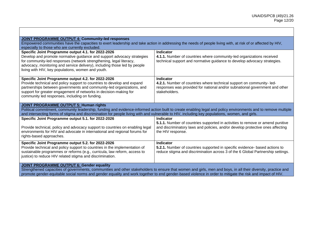| <b>JOINT PROGRAMME OUTPUT 4: Community-led responses</b><br>Empowered communities have the capacities to exert leadership and take action in addressing the needs of people living with, at risk of or affected by HIV,                                                                                                                                                        |                                                                                                                                                                                          |  |
|--------------------------------------------------------------------------------------------------------------------------------------------------------------------------------------------------------------------------------------------------------------------------------------------------------------------------------------------------------------------------------|------------------------------------------------------------------------------------------------------------------------------------------------------------------------------------------|--|
| especially to those who are currently excluded.                                                                                                                                                                                                                                                                                                                                |                                                                                                                                                                                          |  |
| Specific Joint Programme output 4.1. for 2022-2026                                                                                                                                                                                                                                                                                                                             | Indicator                                                                                                                                                                                |  |
| Develop and promote normative guidance and support advocacy strategies<br>for community-led responses (network strengthening, legal literacy,<br>advocacy, monitoring and service delivery), including those led by people<br>living with HIV, key populations, women and youth.                                                                                               | 4.1.1. Number of countries where community-led organizations received<br>technical support and normative guidance to develop advocacy strategies.                                        |  |
| Specific Joint Programme output 4.2. for 2022-2026<br>Provide technical and policy support to countries to develop and expand<br>partnerships between governments and community-led organizations, and<br>support for greater engagement of networks in decision-making for<br>community led responses, including on funding.                                                  | <b>Indicator</b><br>4.2.1. Number of countries where technical support on community-led-<br>responses was provided for national and/or subnational government and other<br>stakeholders. |  |
| <b>JOINT PROGRAMME OUTPUT 5: Human rights</b><br>Political commitment, community leadership, funding and evidence-informed action built to create enabling legal and policy environments and to remove multiple<br>and intersecting forms of stigma and discrimination for people living with and vulnerable to HIV, including key populations, women, and girls.              |                                                                                                                                                                                          |  |
| Specific Joint Programme output 5.1. for 2022-2026                                                                                                                                                                                                                                                                                                                             | Indicator                                                                                                                                                                                |  |
| Provide technical, policy and advocacy support to countries on enabling legal<br>environments for HIV and advocate in international and regional forums for<br>rights-based approaches.                                                                                                                                                                                        | 5.1.1. Number of countries supported in activities to remove or amend punitive<br>and discriminatory laws and policies, and/or develop protective ones affecting<br>the HIV response.    |  |
| Specific Joint Programme output 5.2. for 2022-2026<br>Provide technical and policy support to countries in the implementation of                                                                                                                                                                                                                                               | Indicator<br>5.2.1. Number of countries supported in specific evidence- based actions to                                                                                                 |  |
| sustainable programmes or reforms (e.g., curricula, law reform, access to<br>justice) to reduce HIV related stigma and discrimination.                                                                                                                                                                                                                                         | reduce stigma and discrimination across 3 of the 6 Global Partnership settings.                                                                                                          |  |
| <b>JOINT PROGRAMME OUTPUT 6: Gender equality</b><br>Strengthened capacities of governments, communities and other stakeholders to ensure that women and girls, men and boys, in all their diversity, practice and<br>promote gender-equitable social norms and gender equality and work together to end gender-based violence in order to mitigate the risk and impact of HIV. |                                                                                                                                                                                          |  |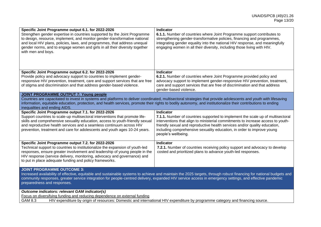| Specific Joint Programme output 6.1. for 2022-2026                                                                                                                 | <b>Indicator</b>                                                                                                                                                 |  |
|--------------------------------------------------------------------------------------------------------------------------------------------------------------------|------------------------------------------------------------------------------------------------------------------------------------------------------------------|--|
| Strengthen gender expertise in countries supported by the Joint Programme                                                                                          | 6.1.1. Number of countries where Joint Programme support contributes to                                                                                          |  |
| to design, resource, implement, and monitor gender-transformative national                                                                                         | strengthening gender-transformative policies, financing and programmes,                                                                                          |  |
| and local HIV plans, policies, laws, and programmes, that address unequal                                                                                          | integrating gender equality into the national HIV response, and meaningfully                                                                                     |  |
| gender norms, and to engage women and girls in all their diversity together                                                                                        | engaging women in all their diversity, including those living with HIV.                                                                                          |  |
| with men and boys.                                                                                                                                                 |                                                                                                                                                                  |  |
|                                                                                                                                                                    |                                                                                                                                                                  |  |
|                                                                                                                                                                    |                                                                                                                                                                  |  |
|                                                                                                                                                                    |                                                                                                                                                                  |  |
| Specific Joint Programme output 6.2. for 2022-2026                                                                                                                 | <b>Indicator</b>                                                                                                                                                 |  |
| Provide policy and advocacy support to countries to implement gender-                                                                                              | 6.2.1. Number of countries where Joint Programme provided policy and                                                                                             |  |
| responsive HIV prevention, treatment, care and support services that are free                                                                                      | advocacy support to implement gender-responsive HIV prevention, treatment,                                                                                       |  |
| of stigma and discrimination and that address gender-based violence.                                                                                               | care and support services that are free of discrimination and that address                                                                                       |  |
|                                                                                                                                                                    | gender-based violence.                                                                                                                                           |  |
| <b>JOINT PROGRAMME OUTPUT 7: Young people</b>                                                                                                                      |                                                                                                                                                                  |  |
|                                                                                                                                                                    | Countries are capacitated to invest in systems and platforms to deliver coordinated, multisectoral strategies that provide adolescents and youth with lifesaving |  |
| information, equitable education, protection, and health services, promote their rights to bodily autonomy, and institutionalize their contributions to ending     |                                                                                                                                                                  |  |
| inequalities and ending AIDS.                                                                                                                                      |                                                                                                                                                                  |  |
| Specific Joint Programme output 7.1. for 2022-2026                                                                                                                 | Indicator                                                                                                                                                        |  |
| Support countries to scale-up multisectoral interventions that promote life-                                                                                       | 7.1.1. Number of countries supported to implement the scale up of multisectoral                                                                                  |  |
| skills and comprehensive sexuality education, access to youth-friendly sexual                                                                                      | interventions that align to ministerial commitments to increase access to youth-                                                                                 |  |
| and reproductive health services and a seamless continuum across HIV                                                                                               | friendly sexual and reproductive health services and/or quality education,                                                                                       |  |
| prevention, treatment and care for adolescents and youth ages 10-24 years.                                                                                         | including comprehensive sexuality education, in order to improve young                                                                                           |  |
|                                                                                                                                                                    | people's wellbeing.                                                                                                                                              |  |
| Specific Joint Programme output 7.2. for 2022-2026                                                                                                                 | <b>Indicator</b>                                                                                                                                                 |  |
| Technical support to countries to institutionalize the expansion of youth-led                                                                                      | 7.2.1. Number of countries receiving policy support and advocacy to develop                                                                                      |  |
| responses, ensure greater involvement and leadership of young people in the                                                                                        | costed and prioritized plans to advance youth-led responses.                                                                                                     |  |
| HIV response (service delivery, monitoring, advocacy and governance) and                                                                                           |                                                                                                                                                                  |  |
| to put in place adequate funding and policy frameworks.                                                                                                            |                                                                                                                                                                  |  |
|                                                                                                                                                                    |                                                                                                                                                                  |  |
| <b>JOINT PROGRAMME OUTCOME 3:</b>                                                                                                                                  |                                                                                                                                                                  |  |
| Increased availability of effective, equitable and sustainable systems to achieve and maintain the 2025 targets, through robust financing for national budgets and |                                                                                                                                                                  |  |
| community responses, greater service integration for people-centred delivery, expanded HIV service access in emergency settings, and effective pandemic            |                                                                                                                                                                  |  |
| preparedness and responses.                                                                                                                                        |                                                                                                                                                                  |  |
|                                                                                                                                                                    |                                                                                                                                                                  |  |
| Outcome indicators: relevant GAM indicator(s)                                                                                                                      |                                                                                                                                                                  |  |
| Focus on diversifying funding and reducing dependence on external funding                                                                                          |                                                                                                                                                                  |  |
| GAM 8.3<br>HIV expenditure by origin of resources: Domestic and international HIV expenditure by programme category and financing source.                          |                                                                                                                                                                  |  |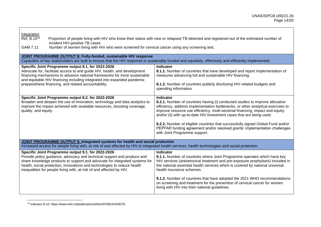| Integration<br>Ref. B.10 <sup>18</sup><br>Proportion of people living with HIV who know their status with new or relapsed TB detected and registered out of the estimated number of<br>incident HIV-positive TB cases<br>Number of women living with HIV who were screened for cervical cancer using any screening test.<br>GAM 7.11                             |                                                                                                                                                                                                                                                                                                                                                                                                                                                                                                                                                    |  |
|------------------------------------------------------------------------------------------------------------------------------------------------------------------------------------------------------------------------------------------------------------------------------------------------------------------------------------------------------------------|----------------------------------------------------------------------------------------------------------------------------------------------------------------------------------------------------------------------------------------------------------------------------------------------------------------------------------------------------------------------------------------------------------------------------------------------------------------------------------------------------------------------------------------------------|--|
| JOINT PROGRAMME OUTPUT 8: Fully-funded, sustainable HIV response<br>Capacities of key stakeholders are built to ensure that the HIV response is sustainably funded and equitably, effectively and efficiently implemented.                                                                                                                                       |                                                                                                                                                                                                                                                                                                                                                                                                                                                                                                                                                    |  |
| Specific Joint Programme output 8.1. for 2022-2026<br>Advocate for, facilitate access to and guide HIV, health, and development<br>financing mechanisms to advance national frameworks for more sustainable<br>and equitable HIV financing including integrated into expanded pandemic<br>preparedness financing, and related accountability.                    | <b>Indicator</b><br>8.1.1. Number of countries that have developed and report implementation of<br>measures advancing full and sustainable HIV financing.<br>8.1.2. Number of countries publicly disclosing HIV-related budgets and<br>spending information.                                                                                                                                                                                                                                                                                       |  |
| Specific Joint Programme output 8.2. for 2022-2026<br>Broaden and deepen the use of innovation, technology and data analytics to<br>improve the impact achieved with available resources, boosting coverage,<br>quality, and equity.                                                                                                                             | <b>Indicator</b><br>8.2.1. Number of countries having (i) conducted studies to improve allocative<br>efficiency, address implementation bottlenecks, or other analytical exercises to<br>improve resource use efficiency, multi-sectorial financing, impact and equity;<br>and/or (ii) with up-to-date HIV Investment cases that are being used.<br>8.2.2. Number of eligible countries that successfully signed Global Fund and/or<br>PEPFAR funding agreement and/or resolved grants' implementation challenges<br>with Joint Programme support. |  |
| JOINT PROGRAMME OUTPUT 9: Integrated systems for health and social protection<br>Increased access for people living with, at risk of and affected by HIV to integrated health services, health technologies and social protection.                                                                                                                               |                                                                                                                                                                                                                                                                                                                                                                                                                                                                                                                                                    |  |
| Specific Joint Programme output 9.1. for 2022-2026<br>Provide policy guidance, advocacy and technical support and produce and<br>share knowledge products to support and advocate for integrated systems for<br>health, social protection, innovations and technologies to reduce health<br>inequalities for people living with, at risk of and affected by HIV. | <b>Indicator</b><br>9.1.1. Number of countries where Joint Programme operates which have key<br>HIV services (antiretroviral treatment and pre-exposure prophylaxis) included in<br>the national essential health services which is covered by national universal<br>health insurance schemes.<br>9.1.2. Number of countries that have adopted the 2021 WHO recommendations<br>on screening and treatment for the prevention of cervical cancer for women<br>living with HIV into their national guidelines.                                       |  |

<sup>18</sup> Indicator B.10: https://www.who.int/publications/i/item/9789241508278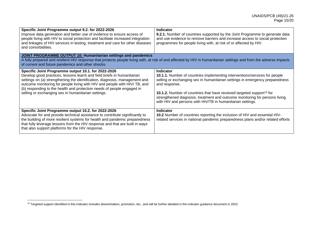| Specific Joint Programme output 9.2. for 2022-2026<br>Improve data generation and better use of evidence to ensure access of<br>people living with HIV to social protection and facilitate increased integration<br>and linkages of HIV services in testing, treatment and care for other diseases<br>and comorbidities.                                                                                                     | <b>Indicator</b><br>9.2.1. Number of countries supported by the Joint Programme to generate data<br>and use evidence to remove barriers and increase access to social protection<br>programmes for people living with, at risk of or affected by HIV.                                                                                                                                                                                    |  |
|------------------------------------------------------------------------------------------------------------------------------------------------------------------------------------------------------------------------------------------------------------------------------------------------------------------------------------------------------------------------------------------------------------------------------|------------------------------------------------------------------------------------------------------------------------------------------------------------------------------------------------------------------------------------------------------------------------------------------------------------------------------------------------------------------------------------------------------------------------------------------|--|
| <b>JOINT PROGRAMME OUTPUT 10: Humanitarian settings and pandemics</b><br>A fully prepared and resilient HIV response that protects people living with, at risk of and affected by HIV in humanitarian settings and from the adverse impacts<br>of current and future pandemics and other shocks.                                                                                                                             |                                                                                                                                                                                                                                                                                                                                                                                                                                          |  |
| Specific Joint Programme output 10.1. for 2022-2026<br>Develop good practices, lessons learnt and field briefs in humanitarian<br>settings on (a) strengthening the identification, diagnosis, management and<br>outcome monitoring for people living with HIV and people with HIV/ TB, and<br>(b) responding to the health and protection needs of people engaged in<br>selling or exchanging sex in humanitarian settings. | <b>Indicator</b><br>10.1.1. Number of countries implementing interventions/services for people<br>selling or exchanging sex in humanitarian settings in emergency preparedness<br>and response.<br><b>10.1.2.</b> Number of countries that have received targeted support <sup>19</sup> for<br>strengthened diagnosis, treatment and outcome monitoring for persons living<br>with HIV and persons with HIV/TB in humanitarian settings. |  |
| Specific Joint Programme output 10.2. for 2022-2026<br>Advocate for and provide technical assistance to contribute significantly to<br>the building of more resilient systems for health and pandemic preparedness<br>that fully leverage lessons from the HIV response and that are built in ways<br>that also support platforms for the HIV response.                                                                      | <b>Indicator</b><br>10.2 Number of countries reporting the inclusion of HIV and essential HIV-<br>related services in national pandemic preparedness plans and/or related efforts                                                                                                                                                                                                                                                        |  |

<sup>&</sup>lt;sup>19</sup> Targeted support identified in this indicator includes dissemination, promotion, etc., and will be further detailed in the indicator guidance document in 2022.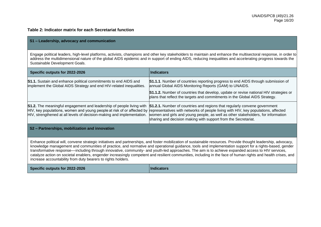# **Table 2: Indicator matrix for each Secretariat function**

#### **S1 – Leadership, advocacy and communication**

Engage political leaders, high-level platforms, activists, champions and other key stakeholders to maintain and enhance the multisectoral response, in order to address the multidimensional nature of the global AIDS epidemic and in support of ending AIDS, reducing inequalities and accelerating progress towards the Sustainable Development Goals.

| Specific outputs for 2022-2026                                                                                                                                                                                                                                                                                                                                                                                                                                                                                                                                                                                                                                                                                 | <b>Indicators</b>                                                                                                                                                                                                                                                                                                            |  |
|----------------------------------------------------------------------------------------------------------------------------------------------------------------------------------------------------------------------------------------------------------------------------------------------------------------------------------------------------------------------------------------------------------------------------------------------------------------------------------------------------------------------------------------------------------------------------------------------------------------------------------------------------------------------------------------------------------------|------------------------------------------------------------------------------------------------------------------------------------------------------------------------------------------------------------------------------------------------------------------------------------------------------------------------------|--|
| <b>S1.1.</b> Sustain and enhance political commitments to end AIDS and<br>implement the Global AIDS Strategy and end HIV-related inequalities.                                                                                                                                                                                                                                                                                                                                                                                                                                                                                                                                                                 | <b>S1.1.1</b> . Number of countries reporting progress to end AIDS through submission of<br>annual Global AIDS Monitoring Reports (GAM) to UNAIDS.                                                                                                                                                                           |  |
|                                                                                                                                                                                                                                                                                                                                                                                                                                                                                                                                                                                                                                                                                                                | <b>S1.1.2.</b> Number of countries that develop, update or revise national HIV strategies or<br>plans that reflect the targets and commitments in the Global AIDS Strategy.                                                                                                                                                  |  |
| S1.2. The meaningful engagement and leadership of people living with<br>HIV, key populations, women and young people at risk of or affected by<br>HIV, strengthened at all levels of decision-making and implementation.                                                                                                                                                                                                                                                                                                                                                                                                                                                                                       | <b>S1.2.1.</b> Number of countries and regions that regularly convene government<br>representatives with networks of people living with HIV, key populations, affected<br>women and girls and young people, as well as other stakeholders, for information<br>sharing and decision making with support from the Secretariat. |  |
| S2 - Partnerships, mobilization and innovation                                                                                                                                                                                                                                                                                                                                                                                                                                                                                                                                                                                                                                                                 |                                                                                                                                                                                                                                                                                                                              |  |
| Enhance political will, convene strategic initiatives and partnerships, and foster mobilization of sustainable resources. Provide thought leadership, advocacy,<br>knowledge management and communities of practice, and normative and operational guidance, tools and implementation support for a rights-based, gender<br>transformative response—including through innovative, community- and youth-led approaches. The aim is to achieve expanded access to HIV services,<br>catalyze action on societal enablers, engender increasingly competent and resilient communities, including in the face of human rights and health crises, and<br>increase accountability from duty bearers to rights holders. |                                                                                                                                                                                                                                                                                                                              |  |

**Specific outputs for 2022-2026 Indicators**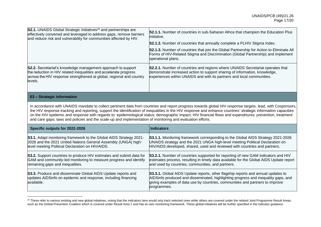| <b>S2.1.</b> UNAIDS Global Strategic Initiatives <sup>20</sup> and partnerships are<br>effectively convened and leveraged to address gaps, remove barriers<br>and reduce risk and vulnerability for communities affected by HIV. | <b>S2.1.1.</b> Number of countries in sub-Saharan Africa that champion the Education Plus<br>initiative.<br>S2.1.2. Number of countries that annually complete a PLHIV Stigma Index.<br><b>S2.1.3.</b> Number of countries that join the Global Partnership for Action to Eliminate All<br>Forms of HIV-Related Stigma and Discrimination (Global Partnership) and implement<br>operational plans. |
|----------------------------------------------------------------------------------------------------------------------------------------------------------------------------------------------------------------------------------|----------------------------------------------------------------------------------------------------------------------------------------------------------------------------------------------------------------------------------------------------------------------------------------------------------------------------------------------------------------------------------------------------|
| <b>S2.2.</b> Secretariat's knowledge management approach to support<br>the reduction in HIV related inequalities and accelerate progress<br>across the HIV response strengthened at global, regional and country<br>levels.      | S2.2.1. Number of countries and regions where UNAIDS Secretariat operates that<br>demonstrate increased action to support sharing of information, knowledge,<br>experiences within UNAIDS and with its partners and local communities.                                                                                                                                                             |
| S <sub>3</sub> – Strategic information                                                                                                                                                                                           |                                                                                                                                                                                                                                                                                                                                                                                                    |

In accordance with UNAIDS mandate to collect pertinent data from countries and report progress towards global HIV response targets, lead, with Cosponsors, the HIV response tracking and reporting, support the identification of inequalities in the HIV response and enhance countries' strategic information capacities on the HIV epidemic and response with regards to: epidemiological status; demographic impact; HIV financial flows and expenditures; prevention, treatment and care gaps; laws and policies and the scale-up and implementation of monitoring and evaluation efforts.

| Specific outputs for 2022-2026                                                                                                               | <b>Indicators</b>                                                                                                                                                                                                                                                             |
|----------------------------------------------------------------------------------------------------------------------------------------------|-------------------------------------------------------------------------------------------------------------------------------------------------------------------------------------------------------------------------------------------------------------------------------|
| S3.1. Adapt monitoring framework to the Global AIDS Strategy 2021-                                                                           | <b>S3.1.1.</b> Monitoring framework corresponding to the Global AIDS Strategy 2021-2026                                                                                                                                                                                       |
| 2026 and the 2021 United Nations General Assembly (UNGA) high-                                                                               | UNAIDS strategy and the 2021 UNGA high-level meeting Political Declaration on                                                                                                                                                                                                 |
| level meeting Political Declaration on HIV/AIDS.                                                                                             | HIV/AIDS developed, shared, used and reviewed with countries and partners.                                                                                                                                                                                                    |
| S3.2. Support countries to produce HIV estimates and submit data for                                                                         | <b>S3.2.1.</b> Number of countries supported for reporting of new GAM indicators and HIV                                                                                                                                                                                      |
| GAM and community-led monitoring to measure progress and identify                                                                            | estimates process, resulting in timely data available for the Global AIDS Update report                                                                                                                                                                                       |
| remaining gaps and inequalities.                                                                                                             | and used by countries, communities, and partners.                                                                                                                                                                                                                             |
| S3.3. Produce and disseminate Global AIDS Update reports and<br>updates AIDSinfo on epidemic and response, including financing<br>available. | <b>S3.3.1.</b> Global AIDS Update reports, other flagship reports and annual updates to<br>AIDSinfo produced and disseminated, highlighting progress and inequality gaps, and<br>giving examples of data use by countries, communities and partners to improve<br>programmes. |

<sup>&</sup>lt;sup>20</sup> These refer to various existing and new global initiatives, noting that the indicators here would only track selected ones while others are covered under the related Joint Programme Result Areas, such as the Global Prevention Coalition which is covered under Result Area 1 and has its own monitoring framework. These global initiatives will be further specified in the indicator guidance.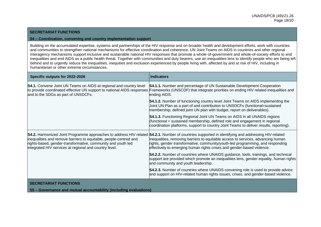#### **SECRETARIAT FUNCTIONS**

#### **S4 – Coordination, convening and country implementation support**

Building on the accumulated expertise, systems and partnerships of the HIV response and on broader health and development efforts, work with countries and communities to strengthen national mechanisms for effective coordination and coherence. UN Joint Teams on AIDS in countries and other regional interagency mechanisms support inclusive and sustainable national HIV responses that promote a whole-of-government and whole-of-society efforts to end inequalities and end AIDS as a public health threat. Together with communities and duty bearers, use an inequalities lens to identify people who are being left behind and to urgently reduce the inequalities, inequities and exclusion experienced by people living with, affected by and at risk of HIV, including in humanitarian or other extreme circumstances.

| Specific outputs for 2022-2026                                                                                                                                                              | <b>Indicators</b>                                                                                                                                                                                                                                                                                                                                                                                  |
|---------------------------------------------------------------------------------------------------------------------------------------------------------------------------------------------|----------------------------------------------------------------------------------------------------------------------------------------------------------------------------------------------------------------------------------------------------------------------------------------------------------------------------------------------------------------------------------------------------|
| <b>S4.1.</b> Convene Joint UN Teams on AIDS at regional and country level<br>and to the SDGs as part of UNSDCFs.                                                                            | S4.1.1. Number and percentage of UN Sustainable Development Cooperation<br>to provide coordinated effective UN support to national AIDS responses Frameworks (UNSCDF) that integrate priorities on ending HIV related inequalities and<br>ending AIDS.                                                                                                                                             |
|                                                                                                                                                                                             | <b>S4.1.2.</b> Number of functioning country level Joint Teams on AIDS implementing the<br>Joint UN Plan as a part of and contribution to UNSDCFs (functional=sustained<br>membership, defined joint UN plan with budget, report on deliverables).                                                                                                                                                 |
|                                                                                                                                                                                             | S4.1.3. Functioning Regional Joint UN Teams on AIDS in all UNAIDS regions<br>(functional = sustained membership, defined role and engagement in regional<br>coordination platforms, support to country Joint Teams to deliver results, reporting).                                                                                                                                                 |
| inequalities and remove barriers to equitable, people-centred and<br>rights-based, gender-transformative, community and youth led<br>integrated HIV services at regional and country level. | S4.2. Harmonized Joint Programme approaches to address HIV related S4.2.1. Number of countries supported in identifying and addressing HIV-related<br>inequalities, removing barriers to equitable access to services, advancing human<br>rights, gender transformative, community/youth-led programming, and responding<br>effectively to emerging human rights crises and gender-based violence. |
|                                                                                                                                                                                             | S4.2.2. Number of countries where UNAIDS guidance, tools, trainings, and technical<br>support are provided which promote an inequalities lens, gender equality, human rights<br>and community and youth leadership.                                                                                                                                                                                |
|                                                                                                                                                                                             | <b>S4.2.3.</b> Number of countries where UNAIDS convening role is used to provide advice<br>and support on HIV-related human rights issues, crises, and gender-based violence.                                                                                                                                                                                                                     |
| <b>SECRETARIAT FUNCTIONS</b>                                                                                                                                                                |                                                                                                                                                                                                                                                                                                                                                                                                    |
| S5 - Governance and mutual accountability (including evaluations)                                                                                                                           |                                                                                                                                                                                                                                                                                                                                                                                                    |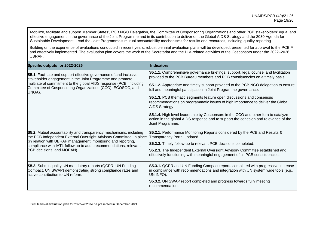Mobilize, facilitate and support Member States', PCB NGO Delegation, the Committee of Cosponsoring Organizations and other PCB stakeholders' equal and effective engagement in the governance of the Joint Programme and in its contribution to deliver on the Global AIDS Strategy and the 2030 Agenda for Sustainable Development. Lead the Joint Programme's mutual accountability mechanisms for results and resources, including quality reporting.

Building on the experience of evaluations conducted in recent years, robust biennial evaluation plans will be developed, presented for approval to the PCB,<sup>21</sup> and effectively implemented. The evaluation plan covers the work of the Secretariat and the HIV-related activities of the Cosponsors under the 2022–2026 UBRAF.

| Specific outputs for 2022-2026                                                                                                                                                                                                                                                                                 | <b>Indicators</b>                                                                                                                                                                                                                                                                                                                                                                                                                                                                                                                                                                                                                                                                                                                       |
|----------------------------------------------------------------------------------------------------------------------------------------------------------------------------------------------------------------------------------------------------------------------------------------------------------------|-----------------------------------------------------------------------------------------------------------------------------------------------------------------------------------------------------------------------------------------------------------------------------------------------------------------------------------------------------------------------------------------------------------------------------------------------------------------------------------------------------------------------------------------------------------------------------------------------------------------------------------------------------------------------------------------------------------------------------------------|
| <b>S5.1.</b> Facilitate and support effective governance of and inclusive<br>stakeholder engagement in the Joint Programme and promote<br>multilateral commitment to the global AIDS response (PCB, including<br>Committee of Cosponsoring Organizations (CCO), ECOSOC, and<br>UNGA).                          | <b>S5.1.1.</b> Comprehensive governance briefings, support, legal counsel and facilitation<br>provided to the PCB Bureau members and PCB constituencies on a timely basis.<br><b>S5.1.2.</b> Appropriate and timely support provided to the PCB NGO delegation to ensure<br>full and meaningful participation in Joint Programme governance.<br><b>S5.1.3.</b> PCB thematic segments feature open discussions and consensus<br>recommendations on programmatic issues of high importance to deliver the Global<br>AIDS Strategy.<br><b>S5.1.4.</b> High level leadership by Cosponsors in the CCO and other fora to catalyze<br>action in the global AIDS response and to support the cohesion and relevance of the<br>Joint Programme. |
| S5.2. Mutual accountability and transparency mechanisms, including<br>the PCB Independent External Oversight Advisory Committee, in place<br>(in relation with UBRAF management, monitoring and reporting,<br>compliance with IATI, follow up to audit recommendations, relevant<br>PCB decisions, and MOPAN). | S5.2.1. Performance Monitoring Reports considered by the PCB and Results &<br>Transparency Portal updated.<br>S5.2.2. Timely follow-up to relevant PCB decisions completed.<br>S5.2.3. The Independent External Oversight Advisory Committee established and<br>effectively functioning with meaningful engagement of all PCB constituencies.                                                                                                                                                                                                                                                                                                                                                                                           |
| <b>S5.3.</b> Submit quality UN mandatory reports (QCPR, UN Funding<br>Compact, UN SWAP) demonstrating strong compliance rates and<br>active contribution to UN reform.                                                                                                                                         | <b>S5.3.1. QCPR and UN Funding Compact reports completed with progressive increase</b><br>in compliance with recommendations and integration with UN system wide tools (e.g.,<br>UN INFO).<br><b>S5.3.2.</b> UN SWAP report completed and progress towards fully meeting<br>recommendations.                                                                                                                                                                                                                                                                                                                                                                                                                                            |

<sup>&</sup>lt;sup>21</sup> First biennial evaluation plan for 2022–2023 to be presented in December 2021.